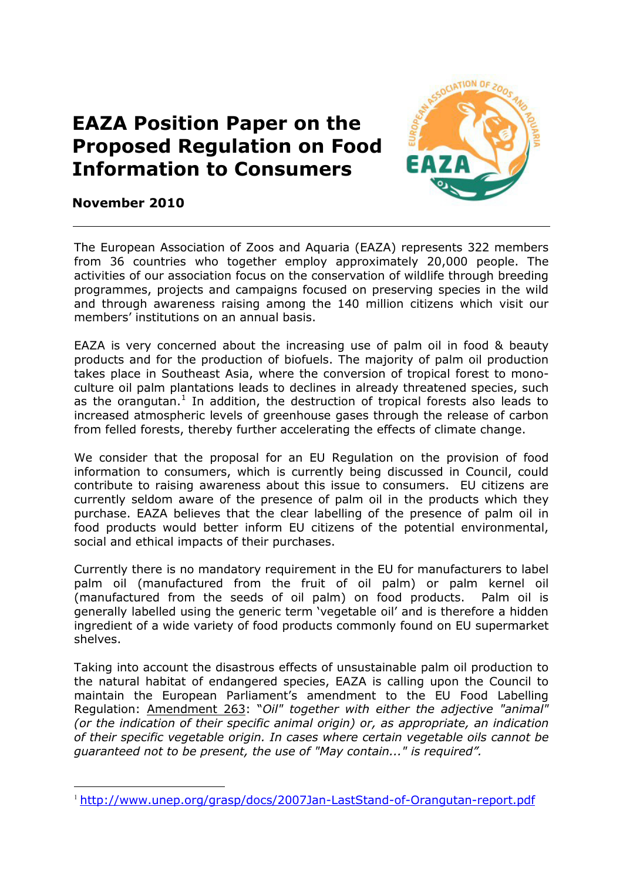## **EAZA Position Paper on the Proposed Regulation on Food Information to Consumers**



## **November 2010**

The European Association of Zoos and Aquaria (EAZA) represents 322 members from 36 countries who together employ approximately 20,000 people. The activities of our association focus on the conservation of wildlife through breeding programmes, projects and campaigns focused on preserving species in the wild and through awareness raising among the 140 million citizens which visit our members' institutions on an annual basis.

EAZA is very concerned about the increasing use of palm oil in food & beauty products and for the production of biofuels. The majority of palm oil production takes place in Southeast Asia, where the conversion of tropical forest to monoculture oil palm plantations leads to declines in already threatened species, such as the orangutan.<sup>[1](#page-0-0)</sup> In addition, the destruction of tropical forests also leads to increased atmospheric levels of greenhouse gases through the release of carbon from felled forests, thereby further accelerating the effects of climate change.

We consider that the proposal for an EU Regulation on the provision of food information to consumers, which is currently being discussed in Council, could contribute to raising awareness about this issue to consumers. EU citizens are currently seldom aware of the presence of palm oil in the products which they purchase. EAZA believes that the clear labelling of the presence of palm oil in food products would better inform EU citizens of the potential environmental, social and ethical impacts of their purchases.

Currently there is no mandatory requirement in the EU for manufacturers to label palm oil (manufactured from the fruit of oil palm) or palm kernel oil (manufactured from the seeds of oil palm) on food products. Palm oil is generally labelled using the generic term 'vegetable oil' and is therefore a hidden ingredient of a wide variety of food products commonly found on EU supermarket shelves.

Taking into account the disastrous effects of unsustainable palm oil production to the natural habitat of endangered species, EAZA is calling upon the Council to maintain the European Parliament's amendment to the EU Food Labelling Regulation: Amendment 263: "*Oil" together with either the adjective "animal" (or the indication of their specific animal origin) or, as appropriate, an indication of their specific vegetable origin. In cases where certain vegetable oils cannot be guaranteed not to be present, the use of "May contain..." is required".*

<span id="page-0-0"></span><sup>&</sup>lt;sup>1</sup> <http://www.unep.org/grasp/docs/2007Jan-LastStand-of-Orangutan-report.pdf>